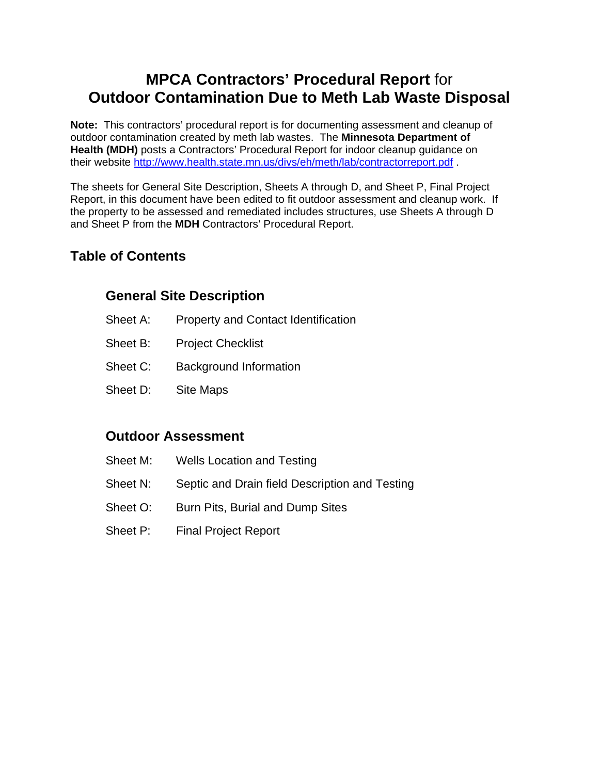## **MPCA Contractors' Procedural Report** for **Outdoor Contamination Due to Meth Lab Waste Disposal**

**Note:** This contractors' procedural report is for documenting assessment and cleanup of outdoor contamination created by meth lab wastes. The **Minnesota Department of Health (MDH)** posts a Contractors' Procedural Report for indoor cleanup guidance on their website http://www.health.state.mn.us/divs/eh/meth/lab/contractorreport.pdf .

The sheets for General Site Description, Sheets A through D, and Sheet P, Final Project Report, in this document have been edited to fit outdoor assessment and cleanup work. If the property to be assessed and remediated includes structures, use Sheets A through D and Sheet P from the **MDH** Contractors' Procedural Report.

## **Table of Contents**

### **General Site Description**

- Sheet A: Property and Contact Identification
- Sheet B: Project Checklist
- Sheet C: Background Information
- Sheet D: Site Maps

### **Outdoor Assessment**

- Sheet M: Wells Location and Testing
- Sheet N: Septic and Drain field Description and Testing
- Sheet O: Burn Pits, Burial and Dump Sites
- Sheet P: Final Project Report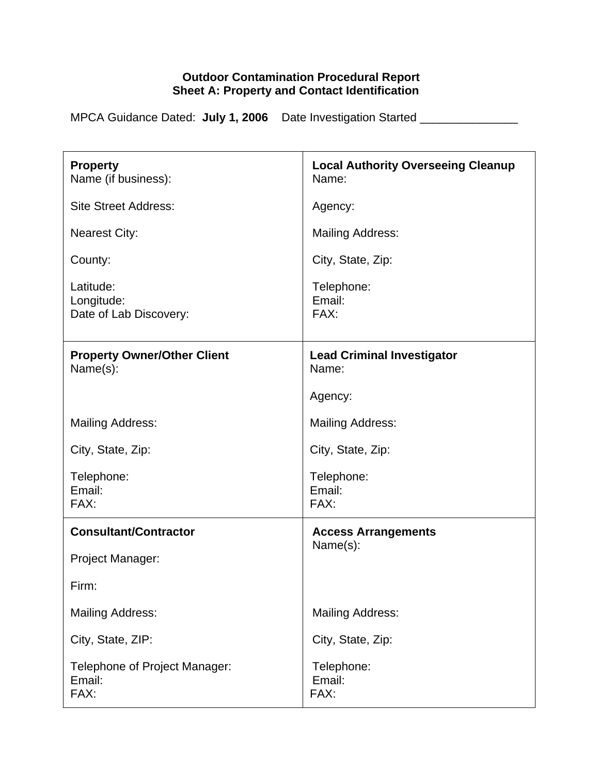#### **Outdoor Contamination Procedural Report Sheet A: Property and Contact Identification**

MPCA Guidance Dated: July 1, 2006 Date Investigation Started \_\_\_\_\_\_\_\_\_\_\_\_\_\_\_\_\_\_

| <b>Property</b><br>Name (if business):            | <b>Local Authority Overseeing Cleanup</b><br>Name: |  |
|---------------------------------------------------|----------------------------------------------------|--|
| <b>Site Street Address:</b>                       | Agency:                                            |  |
| <b>Nearest City:</b>                              | <b>Mailing Address:</b>                            |  |
| County:                                           | City, State, Zip:                                  |  |
| Latitude:<br>Longitude:<br>Date of Lab Discovery: | Telephone:<br>Email:<br>FAX:                       |  |
| <b>Property Owner/Other Client</b><br>Name(s):    | <b>Lead Criminal Investigator</b><br>Name:         |  |
|                                                   | Agency:                                            |  |
| <b>Mailing Address:</b>                           | <b>Mailing Address:</b>                            |  |
| City, State, Zip:                                 | City, State, Zip:                                  |  |
| Telephone:<br>Email:<br>FAX:                      | Telephone:<br>Email:<br>FAX:                       |  |
| <b>Consultant/Contractor</b>                      | <b>Access Arrangements</b>                         |  |
| Project Manager:                                  | Name(s):                                           |  |
| Firm:                                             |                                                    |  |
| <b>Mailing Address:</b>                           | <b>Mailing Address:</b>                            |  |
| City, State, ZIP:                                 | City, State, Zip:                                  |  |
| Telephone of Project Manager:<br>Email:<br>FAX:   | Telephone:<br>Email:<br>FAX:                       |  |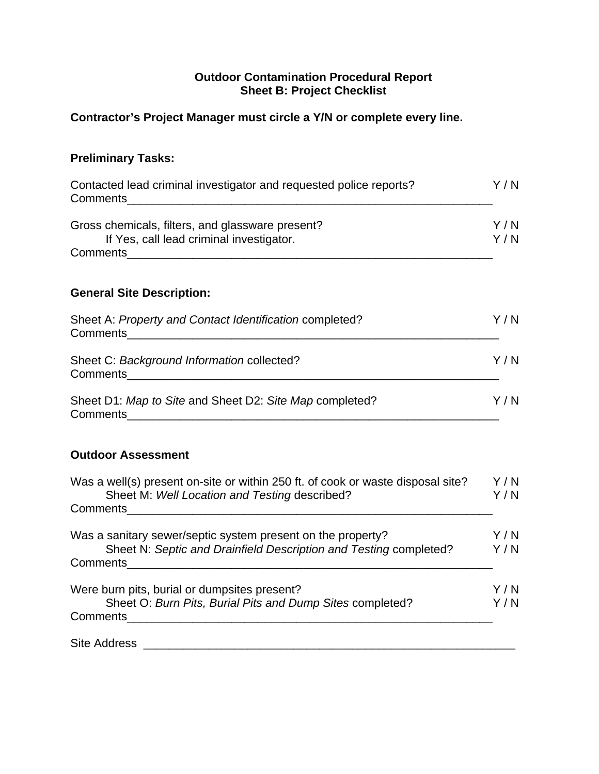# **Outdoor Contamination Procedural Report Sheet B: Project Checklist**

#### **Contractor's Project Manager must circle a Y/N or complete every line.**

### **Preliminary Tasks:**

| Contacted lead criminal investigator and requested police reports?                                                                                                                                                                                                                                                                  | Y / N |  |
|-------------------------------------------------------------------------------------------------------------------------------------------------------------------------------------------------------------------------------------------------------------------------------------------------------------------------------------|-------|--|
| Gross chemicals, filters, and glassware present?<br>If Yes, call lead criminal investigator.<br>Comments <u>and the comments</u> of the comments of the comments of the comments of the comments of the comments of the comments of the comments of the comments of the comments of the comments of the comments of the comments of |       |  |
| <b>General Site Description:</b>                                                                                                                                                                                                                                                                                                    |       |  |
| Sheet A: Property and Contact Identification completed?<br>Comments                                                                                                                                                                                                                                                                 | Y / N |  |
| Sheet C: Background Information collected?<br>Comments                                                                                                                                                                                                                                                                              |       |  |

Sheet D1: *Map to Site* and Sheet D2: *Site Map* completed? Y/N Comments

#### **Outdoor Assessment**

| Was a well(s) present on-site or within 250 ft. of cook or waste disposal site?<br>Sheet M: Well Location and Testing described? | Y / N<br>Y / N |
|----------------------------------------------------------------------------------------------------------------------------------|----------------|
| Comments                                                                                                                         |                |
| Was a sanitary sewer/septic system present on the property?                                                                      | Y / N          |
| Sheet N: Septic and Drainfield Description and Testing completed?                                                                | Y / N          |
| Comments                                                                                                                         |                |
| Were burn pits, burial or dumpsites present?                                                                                     | Y / N          |
| Sheet O: Burn Pits, Burial Pits and Dump Sites completed?                                                                        | Y / N          |
| <b>Comments</b>                                                                                                                  |                |
| <b>Site Address</b>                                                                                                              |                |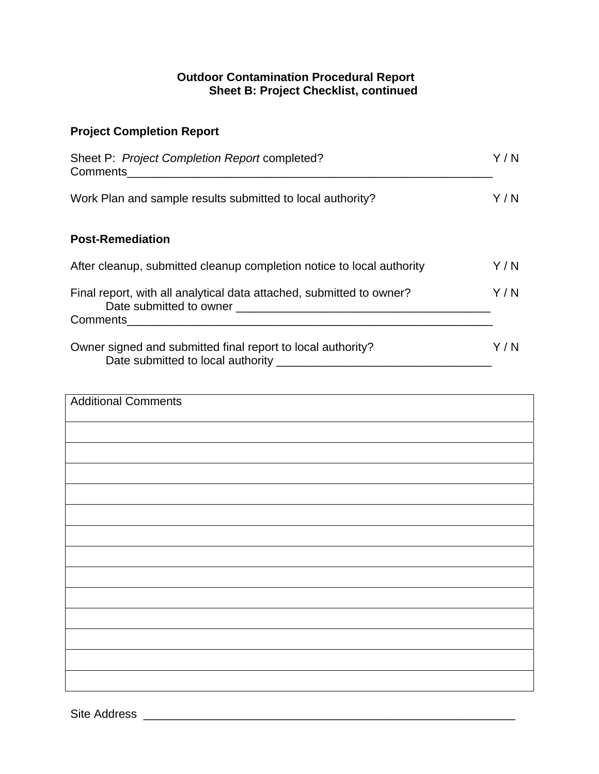#### **Outdoor Contamination Procedural Report Sheet B: Project Checklist, continued**

## **Project Completion Report**

| Sheet P: Project Completion Report completed?<br><b>Comments Comments</b>                                            | Y/N   |
|----------------------------------------------------------------------------------------------------------------------|-------|
| Work Plan and sample results submitted to local authority?                                                           | Y / N |
| <b>Post-Remediation</b>                                                                                              |       |
| After cleanup, submitted cleanup completion notice to local authority                                                | Y/N   |
| Final report, with all analytical data attached, submitted to owner?<br>Date submitted to owner<br>Comments          | Y / N |
| <u> 1980 - Jan Sterling von de Sterling von de Sterling von de Sterling von de Sterling von de Sterling von de S</u> |       |
| Owner signed and submitted final report to local authority?<br>Date submitted to local authority                     |       |

| <b>Additional Comments</b> |
|----------------------------|
|                            |
|                            |
|                            |
|                            |
|                            |
|                            |
|                            |
|                            |
|                            |
|                            |
|                            |
|                            |
|                            |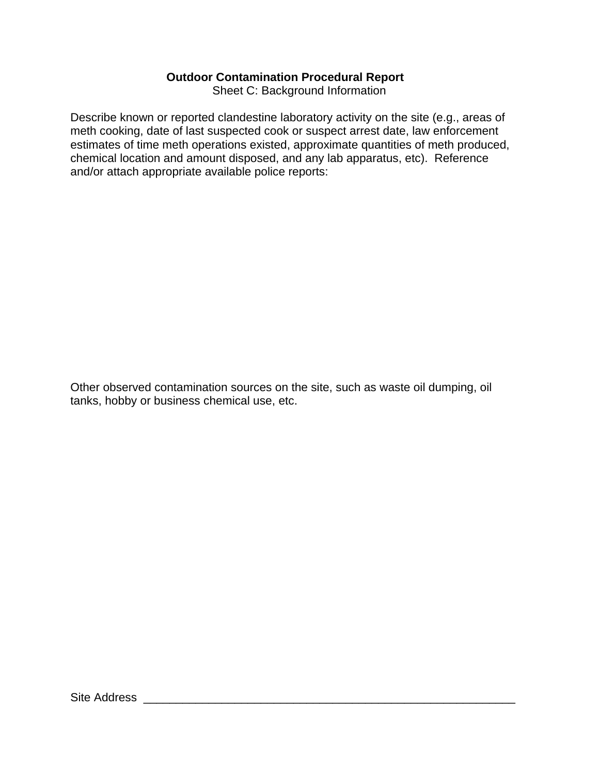#### **Outdoor Contamination Procedural Report**

Sheet C: Background Information

Describe known or reported clandestine laboratory activity on the site (e.g., areas of meth cooking, date of last suspected cook or suspect arrest date, law enforcement estimates of time meth operations existed, approximate quantities of meth produced, chemical location and amount disposed, and any lab apparatus, etc). Reference and/or attach appropriate available police reports:

Other observed contamination sources on the site, such as waste oil dumping, oil tanks, hobby or business chemical use, etc.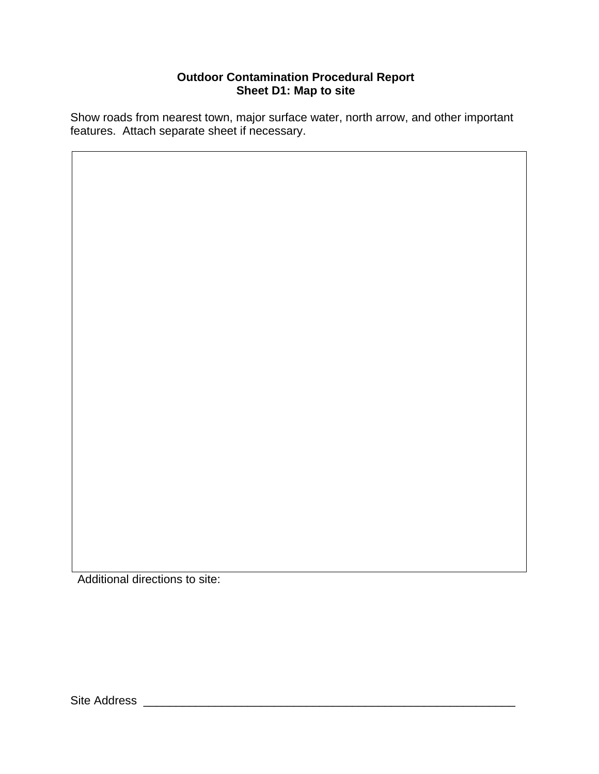# **Outdoor Contamination Procedural Report Sheet D1: Map to site**

Show roads from nearest town, major surface water, north arrow, and other important features. Attach separate sheet if necessary.

Additional directions to site: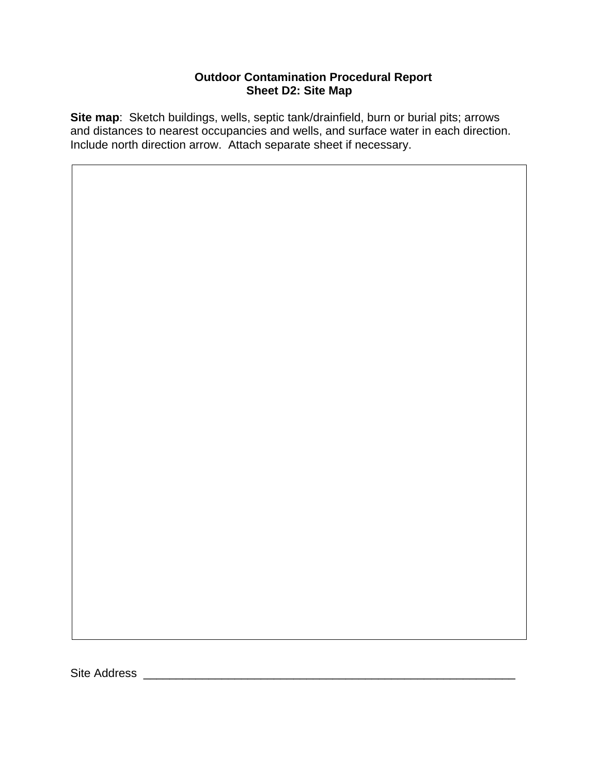# **Outdoor Contamination Procedural Report Sheet D2: Site Map**

**Site map**: Sketch buildings, wells, septic tank/drainfield, burn or burial pits; arrows and distances to nearest occupancies and wells, and surface water in each direction. Include north direction arrow. Attach separate sheet if necessary.

Site Address \_\_\_\_\_\_\_\_\_\_\_\_\_\_\_\_\_\_\_\_\_\_\_\_\_\_\_\_\_\_\_\_\_\_\_\_\_\_\_\_\_\_\_\_\_\_\_\_\_\_\_\_\_\_\_\_\_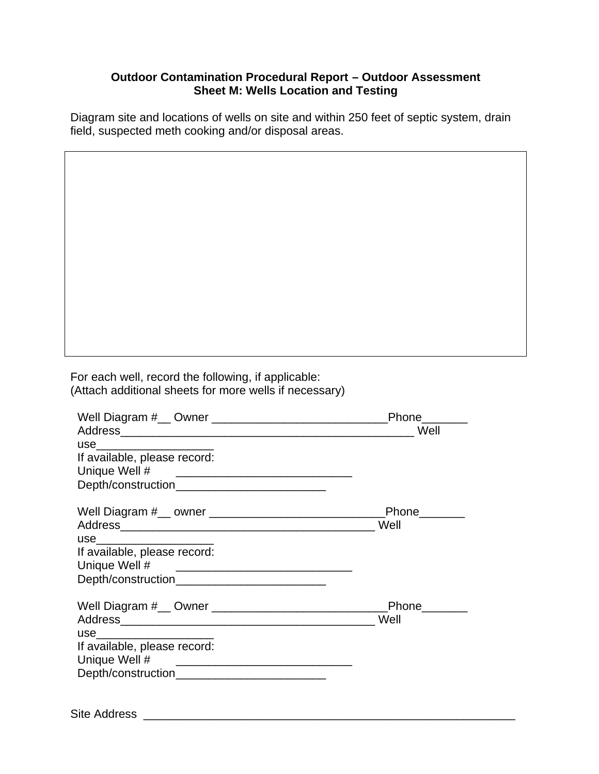#### **Outdoor Contamination Procedural Report – Outdoor Assessment Sheet M: Wells Location and Testing**

Diagram site and locations of wells on site and within 250 feet of septic system, drain field, suspected meth cooking and/or disposal areas.

For each well, record the following, if applicable: (Attach additional sheets for more wells if necessary)

|                                                                                                                                       | Phone <u>New York Books and The Books and the Books and the Books and the Books and the Books and the Books and the Books and the Books and the Books and the Books and the Books and the Books and the Books and the Books and </u> |
|---------------------------------------------------------------------------------------------------------------------------------------|--------------------------------------------------------------------------------------------------------------------------------------------------------------------------------------------------------------------------------------|
|                                                                                                                                       | Well                                                                                                                                                                                                                                 |
| use________________________                                                                                                           |                                                                                                                                                                                                                                      |
| If available, please record:                                                                                                          |                                                                                                                                                                                                                                      |
| Unique Well #                                                                                                                         |                                                                                                                                                                                                                                      |
| Depth/construction____________________________                                                                                        |                                                                                                                                                                                                                                      |
|                                                                                                                                       | Phone________                                                                                                                                                                                                                        |
|                                                                                                                                       | Well                                                                                                                                                                                                                                 |
| use__________________________                                                                                                         |                                                                                                                                                                                                                                      |
| If available, please record:                                                                                                          |                                                                                                                                                                                                                                      |
|                                                                                                                                       |                                                                                                                                                                                                                                      |
| Depth/construction_______________________________                                                                                     |                                                                                                                                                                                                                                      |
|                                                                                                                                       |                                                                                                                                                                                                                                      |
|                                                                                                                                       | Well                                                                                                                                                                                                                                 |
| use_________________________                                                                                                          |                                                                                                                                                                                                                                      |
| If available, please record:                                                                                                          |                                                                                                                                                                                                                                      |
| Unique Well #<br><u> 1980 - Johann Stein, mars andreis andreis andreis andreis andreis andreis andreis andreis andreis andreis an</u> |                                                                                                                                                                                                                                      |
| Depth/construction____________________________                                                                                        |                                                                                                                                                                                                                                      |
|                                                                                                                                       |                                                                                                                                                                                                                                      |

Site Address \_\_\_\_\_\_\_\_\_\_\_\_\_\_\_\_\_\_\_\_\_\_\_\_\_\_\_\_\_\_\_\_\_\_\_\_\_\_\_\_\_\_\_\_\_\_\_\_\_\_\_\_\_\_\_\_\_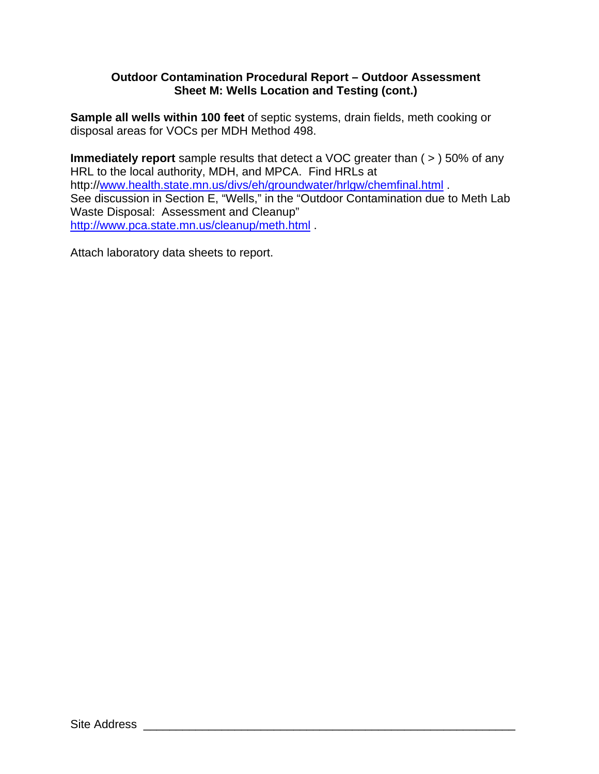#### **Outdoor Contamination Procedural Report – Outdoor Assessment Sheet M: Wells Location and Testing (cont.)**

**Sample all wells within 100 feet** of septic systems, drain fields, meth cooking or disposal areas for VOCs per MDH Method 498.

**Immediately report** sample results that detect a VOC greater than ( > ) 50% of any HRL to the local authority, MDH, and MPCA. Find HRLs at http://www.health.state.mn.us/divs/eh/groundwater/hrlgw/chemfinal.html . See discussion in Section E, "Wells," in the "Outdoor Contamination due to Meth Lab Waste Disposal: Assessment and Cleanup" http://www.pca.state.mn.us/cleanup/meth.html .

Attach laboratory data sheets to report.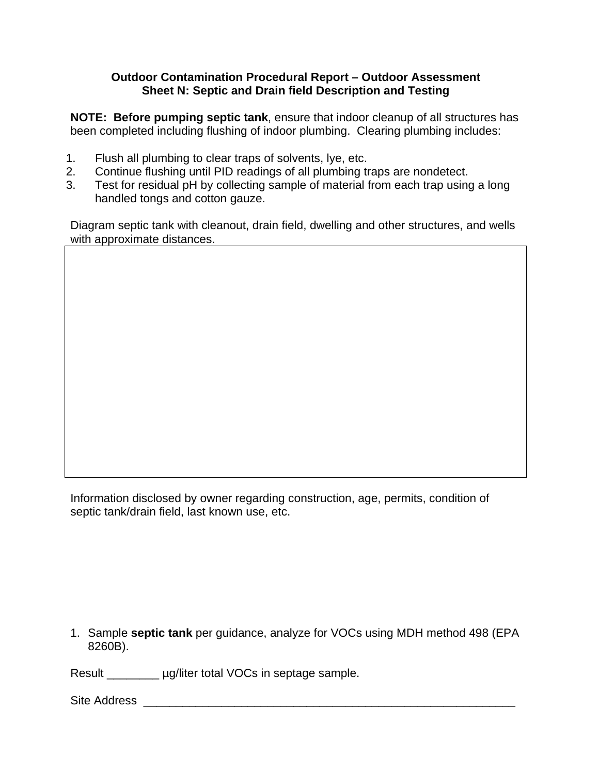#### **Outdoor Contamination Procedural Report – Outdoor Assessment Sheet N: Septic and Drain field Description and Testing**

**NOTE: Before pumping septic tank**, ensure that indoor cleanup of all structures has been completed including flushing of indoor plumbing. Clearing plumbing includes:

- 1. Flush all plumbing to clear traps of solvents, lye, etc.
- 2. Continue flushing until PID readings of all plumbing traps are nondetect.
- 3. Test for residual pH by collecting sample of material from each trap using a long handled tongs and cotton gauze.

Diagram septic tank with cleanout, drain field, dwelling and other structures, and wells with approximate distances.

Information disclosed by owner regarding construction, age, permits, condition of septic tank/drain field, last known use, etc.

1. Sample **septic tank** per guidance, analyze for VOCs using MDH method 498 (EPA 8260B).

Result \_\_\_\_\_\_\_\_ µg/liter total VOCs in septage sample.

Site Address **Example 20** and the set of  $\mathcal{L}$  and  $\mathcal{L}$  and  $\mathcal{L}$  and  $\mathcal{L}$  and  $\mathcal{L}$  and  $\mathcal{L}$  and  $\mathcal{L}$  and  $\mathcal{L}$  and  $\mathcal{L}$  and  $\mathcal{L}$  and  $\mathcal{L}$  and  $\mathcal{L}$  and  $\mathcal{L}$  and  $\mathcal{L}$  and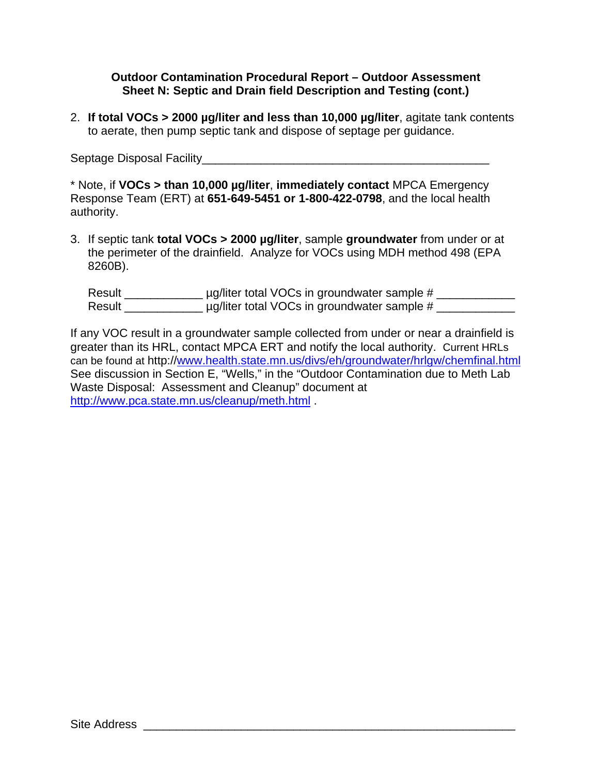#### **Outdoor Contamination Procedural Report – Outdoor Assessment Sheet N: Septic and Drain field Description and Testing (cont.)**

2. **If total VOCs > 2000 µg/liter and less than 10,000 µg/liter**, agitate tank contents to aerate, then pump septic tank and dispose of septage per guidance.

Septage Disposal Facility

\* Note, if **VOCs > than 10,000 µg/liter**, **immediately contact** MPCA Emergency Response Team (ERT) at **651-649-5451 or 1-800-422-0798**, and the local health authority.

3. If septic tank **total VOCs > 2000 µg/liter**, sample **groundwater** from under or at the perimeter of the drainfield. Analyze for VOCs using MDH method 498 (EPA 8260B).

| Result | μg/liter total VOCs in groundwater sample #      |
|--------|--------------------------------------------------|
| Result | $\mu$ g/liter total VOCs in groundwater sample # |

If any VOC result in a groundwater sample collected from under or near a drainfield is greater than its HRL, contact MPCA ERT and notify the local authority. Current HRLs can be found at http://www.health.state.mn.us/divs/eh/groundwater/hrlgw/chemfinal.html See discussion in Section E, "Wells," in the "Outdoor Contamination due to Meth Lab Waste Disposal: Assessment and Cleanup" document at http://www.pca.state.mn.us/cleanup/meth.html .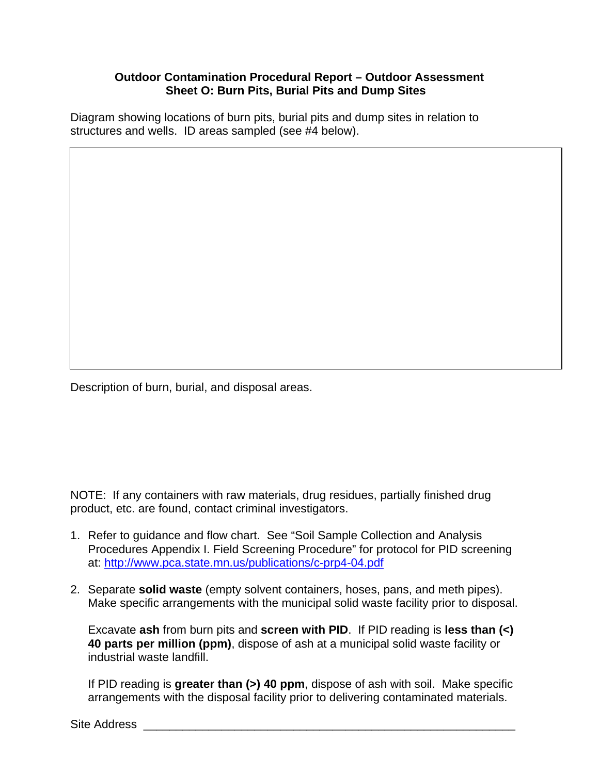#### **Outdoor Contamination Procedural Report – Outdoor Assessment Sheet O: Burn Pits, Burial Pits and Dump Sites**

Diagram showing locations of burn pits, burial pits and dump sites in relation to structures and wells. ID areas sampled (see #4 below).

Description of burn, burial, and disposal areas.

NOTE: If any containers with raw materials, drug residues, partially finished drug product, etc. are found, contact criminal investigators.

- 1. Refer to guidance and flow chart. See "Soil Sample Collection and Analysis Procedures Appendix I. Field Screening Procedure" for protocol for PID screening at: http://www.pca.state.mn.us/publications/c-prp4-04.pdf
- 2. Separate **solid waste** (empty solvent containers, hoses, pans, and meth pipes). Make specific arrangements with the municipal solid waste facility prior to disposal.

Excavate **ash** from burn pits and **screen with PID**. If PID reading is **less than (<) 40 parts per million (ppm)**, dispose of ash at a municipal solid waste facility or industrial waste landfill.

If PID reading is **greater than (>) 40 ppm**, dispose of ash with soil. Make specific arrangements with the disposal facility prior to delivering contaminated materials.

Site Address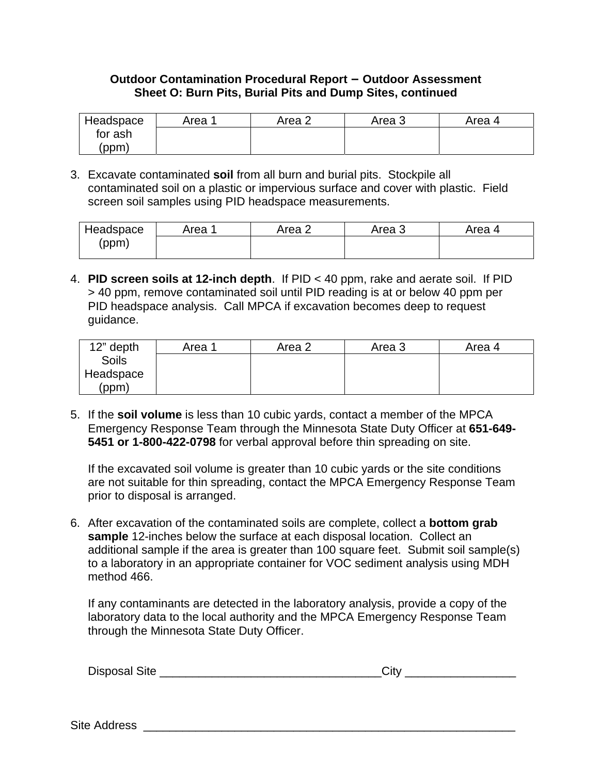#### **Outdoor Contamination Procedural Report – Outdoor Assessment Sheet O: Burn Pits, Burial Pits and Dump Sites, continued**

| Headspace | Area | Area 2 | Area 3 | Area 4 |
|-----------|------|--------|--------|--------|
| for ash   |      |        |        |        |
| (ppm)     |      |        |        |        |

3. Excavate contaminated **soil** from all burn and burial pits. Stockpile all contaminated soil on a plastic or impervious surface and cover with plastic. Field screen soil samples using PID headspace measurements.

| Headspace | Area | Area 2 | Area 3 | Area 4 |
|-----------|------|--------|--------|--------|
| (ppm)     |      |        |        |        |

4. **PID screen soils at 12-inch depth**. If PID < 40 ppm, rake and aerate soil. If PID > 40 ppm, remove contaminated soil until PID reading is at or below 40 ppm per PID headspace analysis. Call MPCA if excavation becomes deep to request guidance.

| 12" depth    | Area 1 | Area 2 | Area 3 | Area 4 |
|--------------|--------|--------|--------|--------|
| <b>Soils</b> |        |        |        |        |
| Headspace    |        |        |        |        |
| (ppm)        |        |        |        |        |

5. If the **soil volume** is less than 10 cubic yards, contact a member of the MPCA Emergency Response Team through the Minnesota State Duty Officer at **651-649- 5451 or 1-800-422-0798** for verbal approval before thin spreading on site.

If the excavated soil volume is greater than 10 cubic yards or the site conditions are not suitable for thin spreading, contact the MPCA Emergency Response Team prior to disposal is arranged.

6. After excavation of the contaminated soils are complete, collect a **bottom grab**  sample 12-inches below the surface at each disposal location. Collect an additional sample if the area is greater than 100 square feet. Submit soil sample(s) to a laboratory in an appropriate container for VOC sediment analysis using MDH method 466.

If any contaminants are detected in the laboratory analysis, provide a copy of the laboratory data to the local authority and the MPCA Emergency Response Team through the Minnesota State Duty Officer.

| Disposal<br>Site | - 1. |  |
|------------------|------|--|
|                  |      |  |